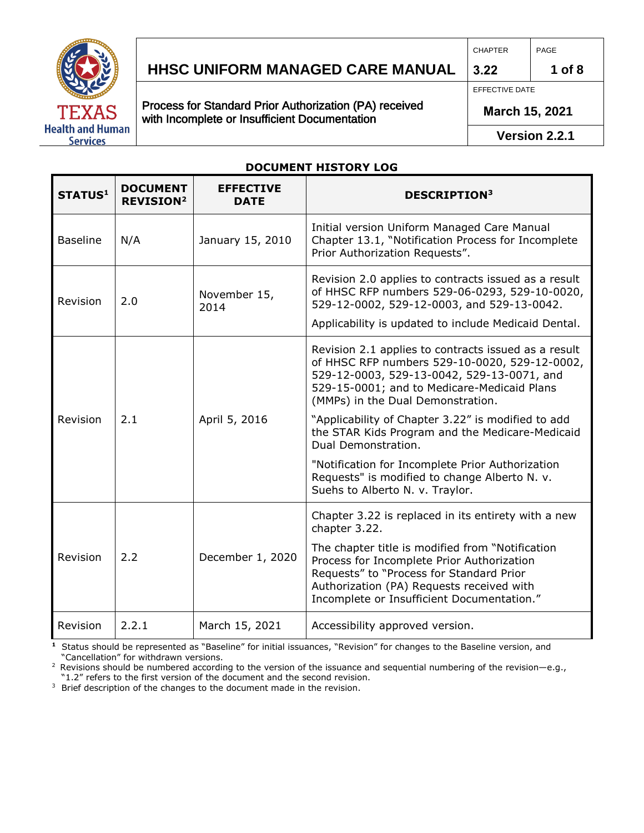

## **HHSC Uniform Managed Care MANUAL HHSC UNIFORM MANAGED CARE MANUAL 1 of 8**

Process for Standard Prior Authorization (PA) received with Incomplete or Insufficient Documentation

PAGE

EFFECTIVE DATE

CHAPTER

**3.22**

**March 15, 2021** 

**Version 2.2.1**

#### **DOCUMENT HISTORY LOG**

| STATUS <sup>1</sup> | <b>DOCUMENT</b><br><b>REVISION<sup>2</sup></b> | <b>EFFECTIVE</b><br><b>DATE</b> | <b>DESCRIPTION3</b>                                                                                                                                                                                                                     |
|---------------------|------------------------------------------------|---------------------------------|-----------------------------------------------------------------------------------------------------------------------------------------------------------------------------------------------------------------------------------------|
| <b>Baseline</b>     | N/A                                            | January 15, 2010                | Initial version Uniform Managed Care Manual<br>Chapter 13.1, "Notification Process for Incomplete<br>Prior Authorization Requests".                                                                                                     |
| Revision            | 2.0                                            | November 15,<br>2014            | Revision 2.0 applies to contracts issued as a result<br>of HHSC RFP numbers 529-06-0293, 529-10-0020,<br>529-12-0002, 529-12-0003, and 529-13-0042.<br>Applicability is updated to include Medicaid Dental.                             |
|                     |                                                |                                 | Revision 2.1 applies to contracts issued as a result<br>of HHSC RFP numbers 529-10-0020, 529-12-0002,<br>529-12-0003, 529-13-0042, 529-13-0071, and<br>529-15-0001; and to Medicare-Medicaid Plans<br>(MMPs) in the Dual Demonstration. |
| Revision            | 2.1                                            | April 5, 2016                   | "Applicability of Chapter 3.22" is modified to add<br>the STAR Kids Program and the Medicare-Medicaid<br>Dual Demonstration.                                                                                                            |
|                     |                                                |                                 | "Notification for Incomplete Prior Authorization<br>Requests" is modified to change Alberto N. v.<br>Suehs to Alberto N. v. Traylor.                                                                                                    |
| Revision            | 2.2                                            | December 1, 2020                | Chapter 3.22 is replaced in its entirety with a new<br>chapter 3.22.                                                                                                                                                                    |
|                     |                                                |                                 | The chapter title is modified from "Notification<br>Process for Incomplete Prior Authorization<br>Requests" to "Process for Standard Prior<br>Authorization (PA) Requests received with<br>Incomplete or Insufficient Documentation."   |
| Revision            | 2.2.1                                          | March 15, 2021                  | Accessibility approved version.                                                                                                                                                                                                         |

**1** Status should be represented as "Baseline" for initial issuances, "Revision" for changes to the Baseline version, and "Cancellation" for withdrawn versions.

<sup>2</sup> Revisions should be numbered according to the version of the issuance and sequential numbering of the revision—e.g., "1.2" refers to the first version of the document and the second revision.

<sup>3</sup> Brief description of the changes to the document made in the revision.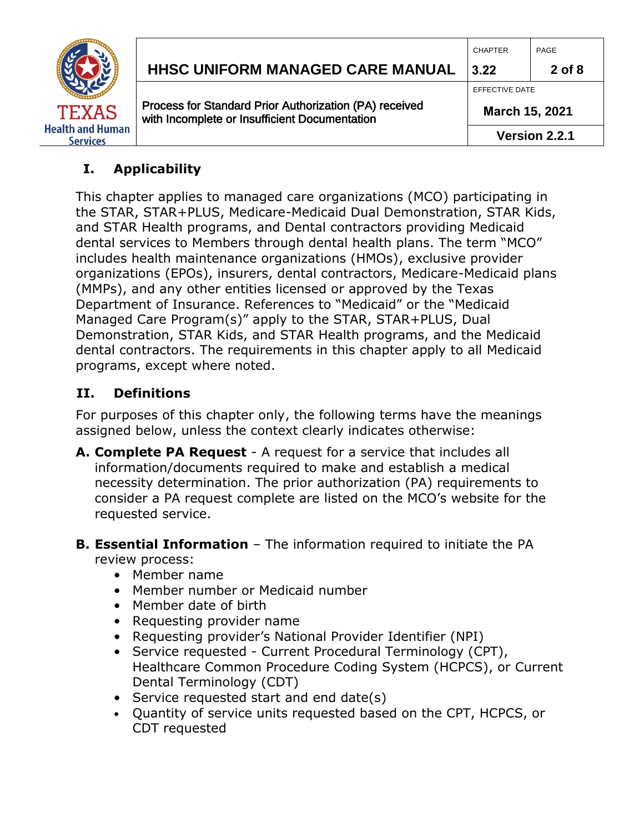

#### **I. Applicability**

This chapter applies to managed care organizations (MCO) participating in the STAR, STAR+PLUS, Medicare-Medicaid Dual Demonstration, STAR Kids, and STAR Health programs, and Dental contractors providing Medicaid dental services to Members through dental health plans. The term "MCO" includes health maintenance organizations (HMOs), exclusive provider organizations (EPOs), insurers, dental contractors, Medicare-Medicaid plans (MMPs), and any other entities licensed or approved by the Texas Department of Insurance. References to "Medicaid" or the "Medicaid Managed Care Program(s)" apply to the STAR, STAR+PLUS, Dual Demonstration, STAR Kids, and STAR Health programs, and the Medicaid dental contractors. The requirements in this chapter apply to all Medicaid programs, except where noted.

#### **II. Definitions**

For purposes of this chapter only, the following terms have the meanings assigned below, unless the context clearly indicates otherwise:

- **A. Complete PA Request** A request for a service that includes all information/documents required to make and establish a medical necessity determination. The prior authorization (PA) requirements to consider a PA request complete are listed on the MCO's website for the requested service.
- **B. Essential Information**  The information required to initiate the PA review process:
	- Member name
	- Member number or Medicaid number
	- Member date of birth
	- Requesting provider name
	- Requesting provider's National Provider Identifier (NPI)
	- Service requested Current Procedural Terminology (CPT), Healthcare Common Procedure Coding System (HCPCS), or Current Dental Terminology (CDT)
	- Service requested start and end date(s)
	- Quantity of service units requested based on the CPT, HCPCS, or CDT requested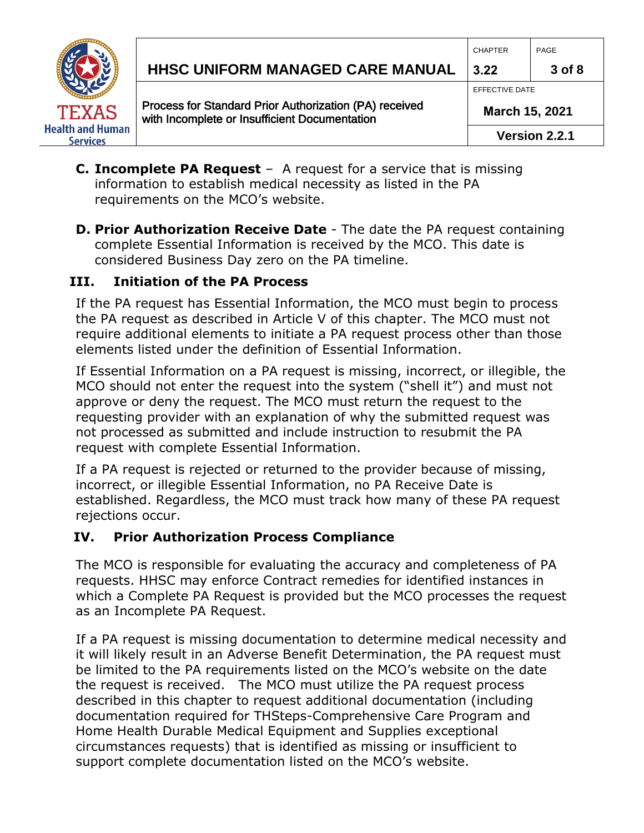

# **HHSC Uniform Managed Care MANUAL HHSC UNIFORM MANAGED CARE MANUAL 3.22 3 of 8**

Process for Standard Prior Authorization (PA) received with Incomplete or Insufficient Documentation

CHAPTER PAGE

EFFECTIVE DATE

**March 15, 2021** 

- **C. Incomplete PA Request** A request for a service that is missing information to establish medical necessity as listed in the PA requirements on the MCO's website.
- **D. Prior Authorization Receive Date** The date the PA request containing complete Essential Information is received by the MCO. This date is considered Business Day zero on the PA timeline.

#### **III. Initiation of the PA Process**

If the PA request has Essential Information, the MCO must begin to process the PA request as described in Article V of this chapter. The MCO must not require additional elements to initiate a PA request process other than those elements listed under the definition of Essential Information.

If Essential Information on a PA request is missing, incorrect, or illegible, the MCO should not enter the request into the system ("shell it") and must not approve or deny the request. The MCO must return the request to the requesting provider with an explanation of why the submitted request was not processed as submitted and include instruction to resubmit the PA request with complete Essential Information.

If a PA request is rejected or returned to the provider because of missing, incorrect, or illegible Essential Information, no PA Receive Date is established. Regardless, the MCO must track how many of these PA request rejections occur.

#### **IV. Prior Authorization Process Compliance**

The MCO is responsible for evaluating the accuracy and completeness of PA requests. HHSC may enforce Contract remedies for identified instances in which a Complete PA Request is provided but the MCO processes the request as an Incomplete PA Request.

If a PA request is missing documentation to determine medical necessity and it will likely result in an Adverse Benefit Determination, the PA request must be limited to the PA requirements listed on the MCO's website on the date the request is received. The MCO must utilize the PA request process described in this chapter to request additional documentation (including documentation required for THSteps-Comprehensive Care Program and Home Health Durable Medical Equipment and Supplies exceptional circumstances requests) that is identified as missing or insufficient to support complete documentation listed on the MCO's website.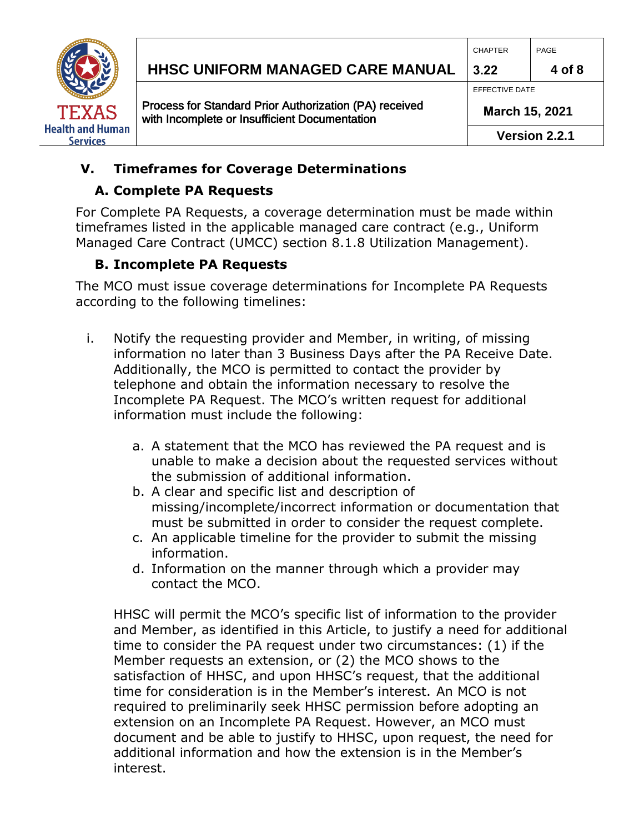

# **HHSC Uniform Managed Care MANUAL HHSC UNIFORM MANAGED CARE MANUAL 3.22 4 of 8**

Process for Standard Prior Authorization (PA) received with Incomplete or Insufficient Documentation

EFFECTIVE DATE

**March 15, 2021** 

**Version 2.2.1**

## **V. Timeframes for Coverage Determinations**

## **A. Complete PA Requests**

For Complete PA Requests, a coverage determination must be made within timeframes listed in the applicable managed care contract (e.g., Uniform Managed Care Contract (UMCC) section 8.1.8 Utilization Management).

### **B. Incomplete PA Requests**

The MCO must issue coverage determinations for Incomplete PA Requests according to the following timelines:

- i. Notify the requesting provider and Member, in writing, of missing information no later than 3 Business Days after the PA Receive Date. Additionally, the MCO is permitted to contact the provider by telephone and obtain the information necessary to resolve the Incomplete PA Request. The MCO's written request for additional information must include the following:
	- a. A statement that the MCO has reviewed the PA request and is unable to make a decision about the requested services without the submission of additional information.
	- b. A clear and specific list and description of missing/incomplete/incorrect information or documentation that must be submitted in order to consider the request complete.
	- c. An applicable timeline for the provider to submit the missing information.
	- d. Information on the manner through which a provider may contact the MCO.

HHSC will permit the MCO's specific list of information to the provider and Member, as identified in this Article, to justify a need for additional time to consider the PA request under two circumstances: (1) if the Member requests an extension, or (2) the MCO shows to the satisfaction of HHSC, and upon HHSC's request, that the additional time for consideration is in the Member's interest. An MCO is not required to preliminarily seek HHSC permission before adopting an extension on an Incomplete PA Request. However, an MCO must document and be able to justify to HHSC, upon request, the need for additional information and how the extension is in the Member's interest.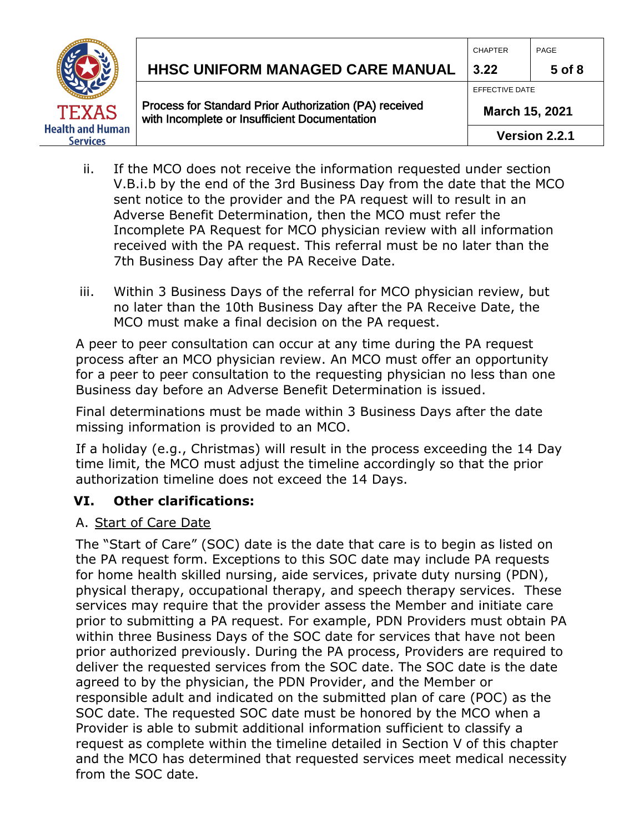

# **HHSC Uniform Managed Care MANUAL HHSC UNIFORM MANAGED CARE MANUAL 3.22 5 of 8**

Process for Standard Prior Authorization (PA) received with Incomplete or Insufficient Documentation

CHAPTER PAGE

EFFECTIVE DATE

**March 15, 2021** 

- ii. If the MCO does not receive the information requested under section V.B.i.b by the end of the 3rd Business Day from the date that the MCO sent notice to the provider and the PA request will to result in an Adverse Benefit Determination, then the MCO must refer the Incomplete PA Request for MCO physician review with all information received with the PA request. This referral must be no later than the 7th Business Day after the PA Receive Date.
- iii. Within 3 Business Days of the referral for MCO physician review, but no later than the 10th Business Day after the PA Receive Date, the MCO must make a final decision on the PA request.

A peer to peer consultation can occur at any time during the PA request process after an MCO physician review. An MCO must offer an opportunity for a peer to peer consultation to the requesting physician no less than one Business day before an Adverse Benefit Determination is issued.

Final determinations must be made within 3 Business Days after the date missing information is provided to an MCO.

If a holiday (e.g., Christmas) will result in the process exceeding the 14 Day time limit, the MCO must adjust the timeline accordingly so that the prior authorization timeline does not exceed the 14 Days.

#### **VI. Other clarifications:**

#### A. Start of Care Date

The "Start of Care" (SOC) date is the date that care is to begin as listed on the PA request form. Exceptions to this SOC date may include PA requests for home health skilled nursing, aide services, private duty nursing (PDN), physical therapy, occupational therapy, and speech therapy services. These services may require that the provider assess the Member and initiate care prior to submitting a PA request. For example, PDN Providers must obtain PA within three Business Days of the SOC date for services that have not been prior authorized previously. During the PA process, Providers are required to deliver the requested services from the SOC date. The SOC date is the date agreed to by the physician, the PDN Provider, and the Member or responsible adult and indicated on the submitted plan of care (POC) as the SOC date. The requested SOC date must be honored by the MCO when a Provider is able to submit additional information sufficient to classify a request as complete within the timeline detailed in Section V of this chapter and the MCO has determined that requested services meet medical necessity from the SOC date.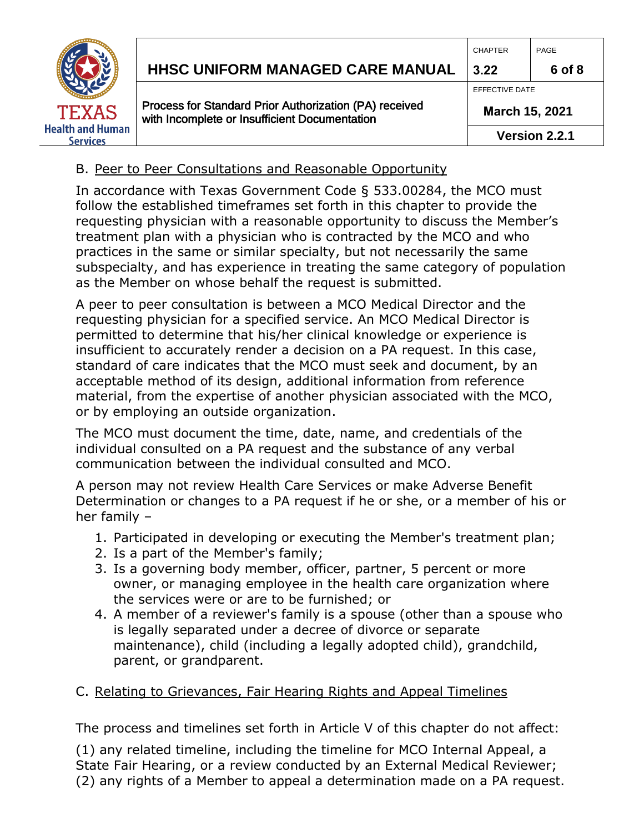

# **HHSC Uniform Managed Care MANUAL HHSC UNIFORM MANAGED CARE MANUAL 3.22 6 of 8**

Process for Standard Prior Authorization (PA) received with Incomplete or Insufficient Documentation

EFFECTIVE DATE

**March 15, 2021** 

#### B. Peer to Peer Consultations and Reasonable Opportunity

In accordance with Texas Government Code § 533.00284, the MCO must follow the established timeframes set forth in this chapter to provide the requesting physician with a reasonable opportunity to discuss the Member's treatment plan with a physician who is contracted by the MCO and who practices in the same or similar specialty, but not necessarily the same subspecialty, and has experience in treating the same category of population as the Member on whose behalf the request is submitted.

A peer to peer consultation is between a MCO Medical Director and the requesting physician for a specified service. An MCO Medical Director is permitted to determine that his/her clinical knowledge or experience is insufficient to accurately render a decision on a PA request. In this case, standard of care indicates that the MCO must seek and document, by an acceptable method of its design, additional information from reference material, from the expertise of another physician associated with the MCO, or by employing an outside organization.

The MCO must document the time, date, name, and credentials of the individual consulted on a PA request and the substance of any verbal communication between the individual consulted and MCO.

A person may not review Health Care Services or make Adverse Benefit Determination or changes to a PA request if he or she, or a member of his or her family –

- 1. Participated in developing or executing the Member's treatment plan;
- 2. Is a part of the Member's family;
- 3. Is a governing body member, officer, partner, 5 percent or more owner, or managing employee in the health care organization where the services were or are to be furnished; or
- 4. A member of a reviewer's family is a spouse (other than a spouse who is legally separated under a decree of divorce or separate maintenance), child (including a legally adopted child), grandchild, parent, or grandparent.

#### C. Relating to Grievances, Fair Hearing Rights and Appeal Timelines

The process and timelines set forth in Article V of this chapter do not affect:

(1) any related timeline, including the timeline for MCO Internal Appeal, a State Fair Hearing, or a review conducted by an External Medical Reviewer; (2) any rights of a Member to appeal a determination made on a PA request.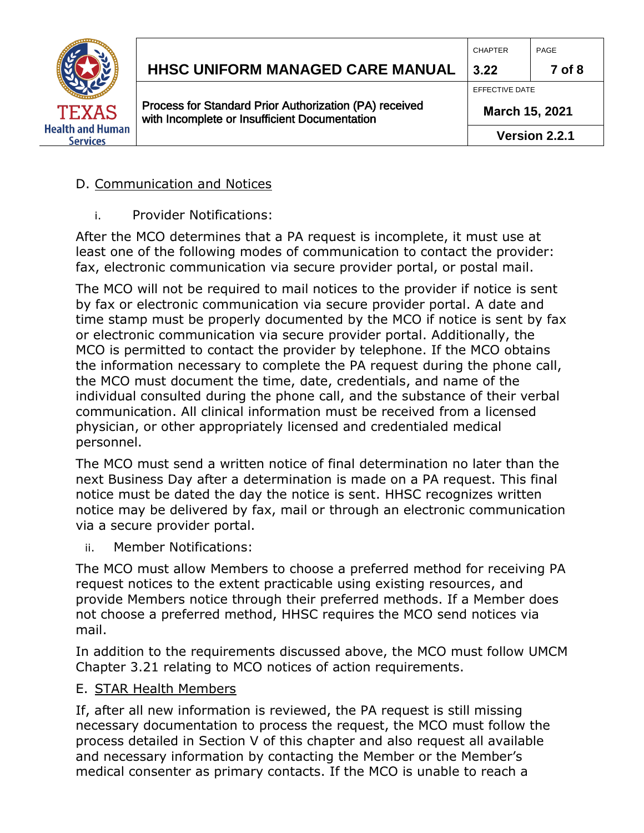

# **HHSC Uniform Managed Care MANUAL HHSC UNIFORM MANAGED CARE MANUAL 3.22 7 of 8**

Process for Standard Prior Authorization (PA) received with Incomplete or Insufficient Documentation

EFFECTIVE DATE

**March 15, 2021** 

#### D. Communication and Notices

i. Provider Notifications:

After the MCO determines that a PA request is incomplete, it must use at least one of the following modes of communication to contact the provider: fax, electronic communication via secure provider portal, or postal mail.

The MCO will not be required to mail notices to the provider if notice is sent by fax or electronic communication via secure provider portal. A date and time stamp must be properly documented by the MCO if notice is sent by fax or electronic communication via secure provider portal. Additionally, the MCO is permitted to contact the provider by telephone. If the MCO obtains the information necessary to complete the PA request during the phone call, the MCO must document the time, date, credentials, and name of the individual consulted during the phone call, and the substance of their verbal communication. All clinical information must be received from a licensed physician, or other appropriately licensed and credentialed medical personnel.

The MCO must send a written notice of final determination no later than the next Business Day after a determination is made on a PA request. This final notice must be dated the day the notice is sent. HHSC recognizes written notice may be delivered by fax, mail or through an electronic communication via a secure provider portal.

ii. Member Notifications:

The MCO must allow Members to choose a preferred method for receiving PA request notices to the extent practicable using existing resources, and provide Members notice through their preferred methods. If a Member does not choose a preferred method, HHSC requires the MCO send notices via mail.

In addition to the requirements discussed above, the MCO must follow UMCM Chapter 3.21 relating to MCO notices of action requirements.

#### E. STAR Health Members

If, after all new information is reviewed, the PA request is still missing necessary documentation to process the request, the MCO must follow the process detailed in Section V of this chapter and also request all available and necessary information by contacting the Member or the Member's medical consenter as primary contacts. If the MCO is unable to reach a